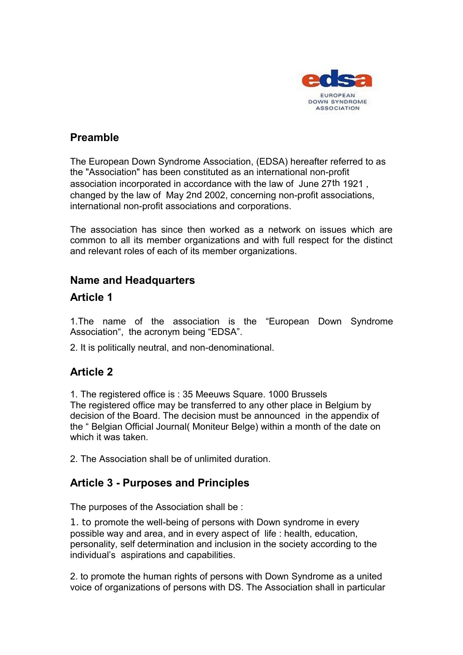

#### **Preamble**

The European Down Syndrome Association, (EDSA) hereafter referred to as the "Association" has been constituted as an international non-profit association incorporated in accordance with the law of June 27th 1921 , changed by the law of May 2nd 2002, concerning non-profit associations, international non-profit associations and corporations.

The association has since then worked as a network on issues which are common to all its member organizations and with full respect for the distinct and relevant roles of each of its member organizations.

#### **Name and Headquarters**

#### **Article 1**

1.The name of the association is the "European Down Syndrome Association", the acronym being "EDSA".

2. It is politically neutral, and non-denominational.

## **Article 2**

1. The registered office is : 35 Meeuws Square. 1000 Brussels The registered office may be transferred to any other place in Belgium by decision of the Board. The decision must be announced in the appendix of the " Belgian Official Journal( Moniteur Belge) within a month of the date on which it was taken.

2. The Association shall be of unlimited duration.

## **Article 3 - Purposes and Principles**

The purposes of the Association shall be :

1. to promote the well-being of persons with Down syndrome in every possible way and area, and in every aspect of life : health, education, personality, self determination and inclusion in the society according to the individual's aspirations and capabilities.

2. to promote the human rights of persons with Down Syndrome as a united voice of organizations of persons with DS. The Association shall in particular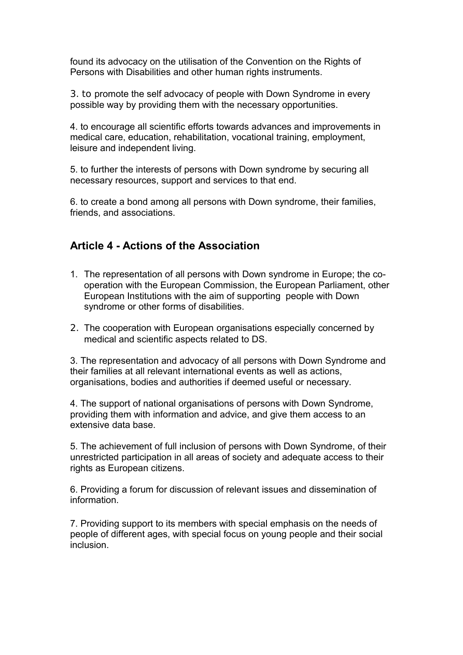found its advocacy on the utilisation of the Convention on the Rights of Persons with Disabilities and other human rights instruments.

3. to promote the self advocacy of people with Down Syndrome in every possible way by providing them with the necessary opportunities.

4. to encourage all scientific efforts towards advances and improvements in medical care, education, rehabilitation, vocational training, employment, leisure and independent living.

5. to further the interests of persons with Down syndrome by securing all necessary resources, support and services to that end.

6. to create a bond among all persons with Down syndrome, their families, friends, and associations.

# **Article 4 - Actions of the Association**

- 1. The representation of all persons with Down syndrome in Europe; the cooperation with the European Commission, the European Parliament, other European Institutions with the aim of supporting people with Down syndrome or other forms of disabilities.
- 2. The cooperation with European organisations especially concerned by medical and scientific aspects related to DS.

3. The representation and advocacy of all persons with Down Syndrome and their families at all relevant international events as well as actions, organisations, bodies and authorities if deemed useful or necessary.

4. The support of national organisations of persons with Down Syndrome, providing them with information and advice, and give them access to an extensive data base.

5. The achievement of full inclusion of persons with Down Syndrome, of their unrestricted participation in all areas of society and adequate access to their rights as European citizens.

6. Providing a forum for discussion of relevant issues and dissemination of information.

7. Providing support to its members with special emphasis on the needs of people of different ages, with special focus on young people and their social inclusion.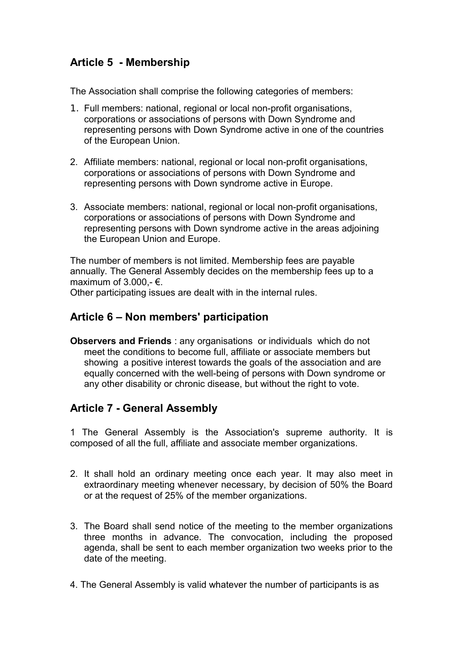# **Article 5 - Membership**

The Association shall comprise the following categories of members:

- 1. Full members: national, regional or local non-profit organisations, corporations or associations of persons with Down Syndrome and representing persons with Down Syndrome active in one of the countries of the European Union.
- 2. Affiliate members: national, regional or local non-profit organisations, corporations or associations of persons with Down Syndrome and representing persons with Down syndrome active in Europe.
- 3. Associate members: national, regional or local non-profit organisations, corporations or associations of persons with Down Syndrome and representing persons with Down syndrome active in the areas adjoining the European Union and Europe.

The number of members is not limited. Membership fees are payable annually. The General Assembly decides on the membership fees up to a maximum of 3.000 -  $\epsilon$ .

Other participating issues are dealt with in the internal rules.

#### **Article 6 – Non members' participation**

**Observers and Friends** : any organisations or individuals which do not meet the conditions to become full, affiliate or associate members but showing a positive interest towards the goals of the association and are equally concerned with the well-being of persons with Down syndrome or any other disability or chronic disease, but without the right to vote.

## **Article 7 - General Assembly**

1 The General Assembly is the Association's supreme authority. It is composed of all the full, affiliate and associate member organizations.

- 2. It shall hold an ordinary meeting once each year. It may also meet in extraordinary meeting whenever necessary, by decision of 50% the Board or at the request of 25% of the member organizations.
- 3. The Board shall send notice of the meeting to the member organizations three months in advance. The convocation, including the proposed agenda, shall be sent to each member organization two weeks prior to the date of the meeting.
- 4. The General Assembly is valid whatever the number of participants is as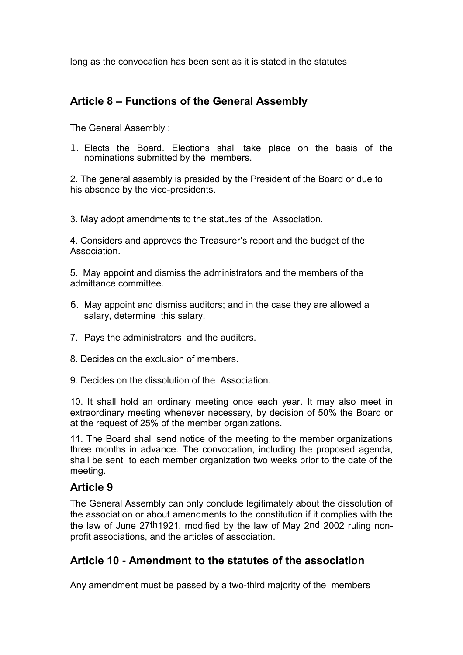long as the convocation has been sent as it is stated in the statutes

# **Article 8 – Functions of the General Assembly**

The General Assembly :

1. Elects the Board. Elections shall take place on the basis of the nominations submitted by the members.

2. The general assembly is presided by the President of the Board or due to his absence by the vice-presidents.

3. May adopt amendments to the statutes of the Association.

4. Considers and approves the Treasurer's report and the budget of the Association.

5. May appoint and dismiss the administrators and the members of the admittance committee.

- 6. May appoint and dismiss auditors; and in the case they are allowed a salary, determine this salary.
- 7. Pays the administrators and the auditors.
- 8. Decides on the exclusion of members*.*
- 9. Decides on the dissolution of the Association.

10. It shall hold an ordinary meeting once each year. It may also meet in extraordinary meeting whenever necessary, by decision of 50% the Board or at the request of 25% of the member organizations.

11. The Board shall send notice of the meeting to the member organizations three months in advance. The convocation, including the proposed agenda, shall be sent to each member organization two weeks prior to the date of the meeting.

## **Article 9**

The General Assembly can only conclude legitimately about the dissolution of the association or about amendments to the constitution if it complies with the the law of June 27th1921, modified by the law of May 2nd 2002 ruling nonprofit associations, and the articles of association.

## **Article 10 - Amendment to the statutes of the association**

Any amendment must be passed by a two-third majority of the members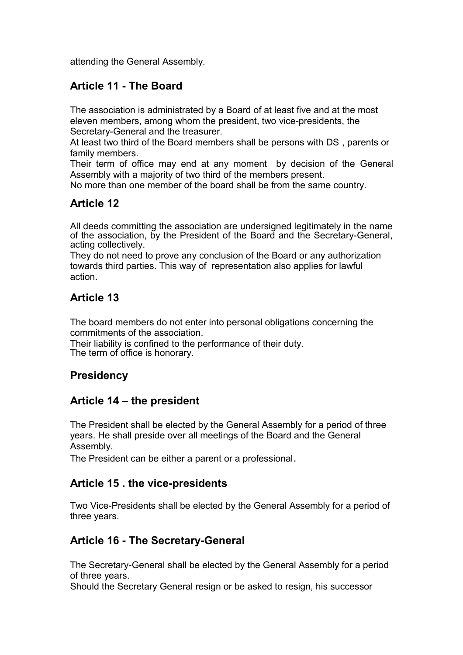attending the General Assembly.

# **Article 11 - The Board**

The association is administrated by a Board of at least five and at the most eleven members, among whom the president, two vice-presidents, the Secretary-General and the treasurer.

At least two third of the Board members shall be persons with DS , parents or family members.

Their term of office may end at any moment by decision of the General Assembly with a majority of two third of the members present.

No more than one member of the board shall be from the same country.

# **Article 12**

All deeds committing the association are undersigned legitimately in the name of the association, by the President of the Board and the Secretary-General, acting collectively.

They do not need to prove any conclusion of the Board or any authorization towards third parties. This way of representation also applies for lawful action.

## **Article 13**

The board members do not enter into personal obligations concerning the commitments of the association.

Their liability is confined to the performance of their duty. The term of office is honorary.

## **Presidency**

## **Article 14 – the president**

The President shall be elected by the General Assembly for a period of three years. He shall preside over all meetings of the Board and the General Assembly.

The President can be either a parent or a professional.

#### **Article 15 . the vice-presidents**

Two Vice-Presidents shall be elected by the General Assembly for a period of three years.

## **Article 16 - The Secretary-General**

The Secretary-General shall be elected by the General Assembly for a period of three years.

Should the Secretary General resign or be asked to resign, his successor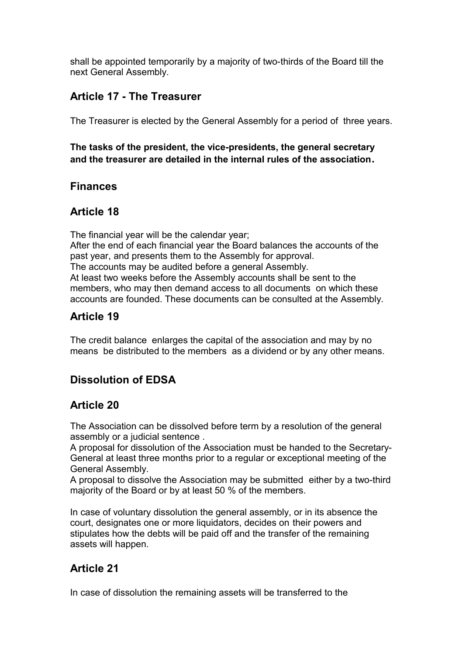shall be appointed temporarily by a majority of two-thirds of the Board till the next General Assembly.

## **Article 17 - The Treasurer**

The Treasurer is elected by the General Assembly for a period of three years.

**The tasks of the president, the vice-presidents, the general secretary and the treasurer are detailed in the internal rules of the association.**

## **Finances**

# **Article 18**

The financial year will be the calendar year; After the end of each financial year the Board balances the accounts of the past year, and presents them to the Assembly for approval. The accounts may be audited before a general Assembly. At least two weeks before the Assembly accounts shall be sent to the members, who may then demand access to all documents on which these accounts are founded. These documents can be consulted at the Assembly.

## **Article 19**

The credit balance enlarges the capital of the association and may by no means be distributed to the members as a dividend or by any other means.

# **Dissolution of EDSA**

## **Article 20**

The Association can be dissolved before term by a resolution of the general assembly or a judicial sentence .

A proposal for dissolution of the Association must be handed to the Secretary-General at least three months prior to a regular or exceptional meeting of the General Assembly.

A proposal to dissolve the Association may be submittedeither by a two-third majority of the Board or by at least 50 % of the members.

In case of voluntary dissolution the general assembly, or in its absence the court, designates one or more liquidators, decides on their powers and stipulates how the debts will be paid off and the transfer of the remaining assets will happen.

# **Article 21**

In case of dissolution the remaining assets will be transferred to the